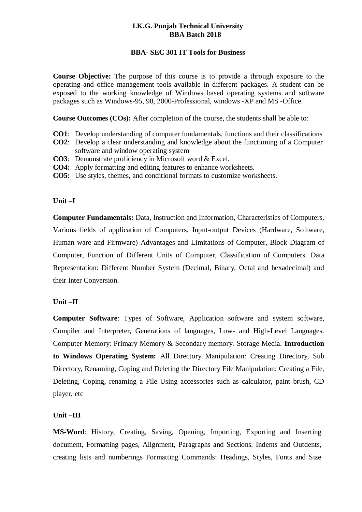## **I.K.G. Punjab Technical University BBA Batch 2018**

## **BBA- SEC 301 IT Tools for Business**

**Course Objective:** The purpose of this course is to provide a through exposure to the operating and office management tools available in different packages. A student can be exposed to the working knowledge of Windows based operating systems and software packages such as Windows-95, 98, 2000-Professional, windows -XP and MS -Office.

**Course Outcomes (COs):** After completion of the course, the students shall be able to:

- **CO1**: Develop understanding of computer fundamentals, functions and their classifications
- **CO2**: Develop a clear understanding and knowledge about the functioning of a Computer software and window operating system
- **CO3**: Demonstrate proficiency in Microsoft word & Excel.
- **CO4:** Apply formatting and editing features to enhance worksheets.
- **CO5:** Use styles, themes, and conditional formats to customize worksheets.

### **Unit –I**

**Computer Fundamentals:** Data, Instruction and Information, Characteristics of Computers, Various fields of application of Computers, Input-output Devices (Hardware, Software, Human ware and Firmware) Advantages and Limitations of Computer, Block Diagram of Computer, Function of Different Units of Computer, Classification of Computers. Data Representation: Different Number System (Decimal, Binary, Octal and hexadecimal) and their Inter Conversion.

#### **Unit –II**

**Computer Software**: Types of Software, Application software and system software, Compiler and Interpreter, Generations of languages, Low- and High-Level Languages. Computer Memory: Primary Memory & Secondary memory. Storage Media. **Introduction to Windows Operating System:** All Directory Manipulation: Creating Directory, Sub Directory, Renaming, Coping and Deleting the Directory File Manipulation: Creating a File, Deleting, Coping, renaming a File Using accessories such as calculator, paint brush, CD player, etc

#### **Unit –III**

**MS-Word**: History, Creating, Saving, Opening, Importing, Exporting and Inserting document, Formatting pages, Alignment, Paragraphs and Sections. Indents and Outdents, creating lists and numberings Formatting Commands: Headings, Styles, Fonts and Size